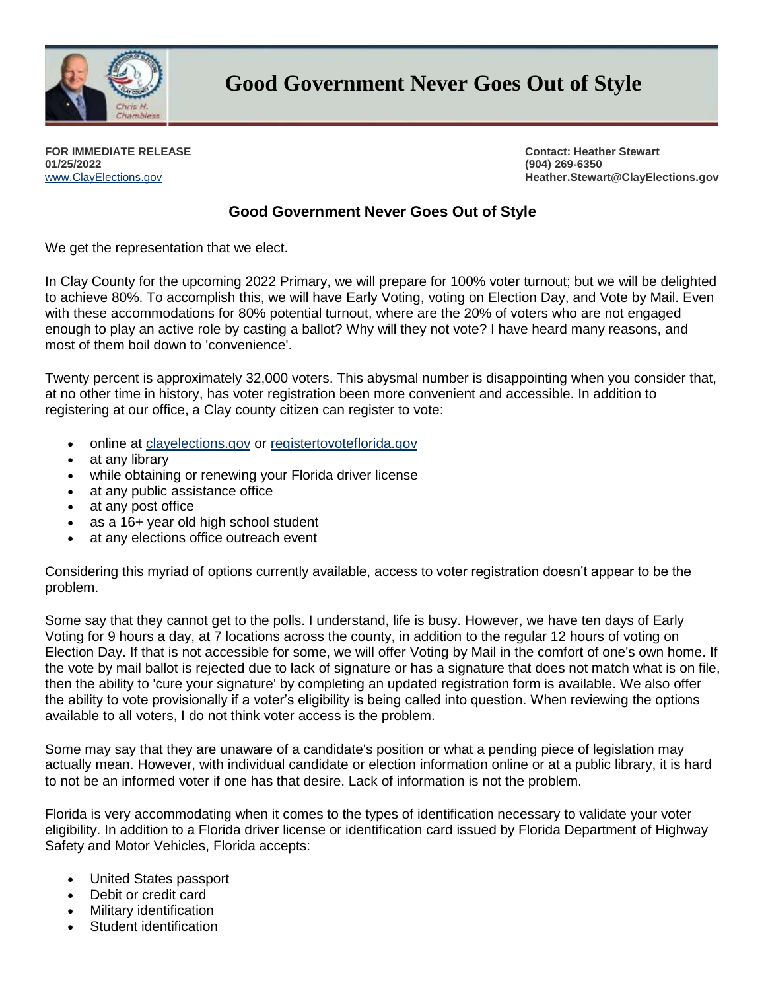

**Good Government Never Goes Out of Style**

**FOR IMMEDIATE RELEASE 01/25/2022** [www.ClayElections.gov](http://www.clayelections.gov/)

**Contact: Heather Stewart (904) 269-6350 Heather.Stewart@ClayElections.gov**

## **Good Government Never Goes Out of Style**

We get the representation that we elect.

In Clay County for the upcoming 2022 Primary, we will prepare for 100% voter turnout; but we will be delighted to achieve 80%. To accomplish this, we will have Early Voting, voting on Election Day, and Vote by Mail. Even with these accommodations for 80% potential turnout, where are the 20% of voters who are not engaged enough to play an active role by casting a ballot? Why will they not vote? I have heard many reasons, and most of them boil down to 'convenience'.

Twenty percent is approximately 32,000 voters. This abysmal number is disappointing when you consider that, at no other time in history, has voter registration been more convenient and accessible. In addition to registering at our office, a Clay county citizen can register to vote:

- online at [clayelections.gov](http://clayelections.gov/) or [registertovoteflorida.gov](http://registertovoteflorida.gov/)
- at any library
- while obtaining or renewing your Florida driver license
- at any public assistance office
- at any post office
- as a 16+ year old high school student
- at any elections office outreach event

Considering this myriad of options currently available, access to voter registration doesn't appear to be the problem.

Some say that they cannot get to the polls. I understand, life is busy. However, we have ten days of Early Voting for 9 hours a day, at 7 locations across the county, in addition to the regular 12 hours of voting on Election Day. If that is not accessible for some, we will offer Voting by Mail in the comfort of one's own home. If the vote by mail ballot is rejected due to lack of signature or has a signature that does not match what is on file, then the ability to 'cure your signature' by completing an updated registration form is available. We also offer the ability to vote provisionally if a voter's eligibility is being called into question. When reviewing the options available to all voters, I do not think voter access is the problem.

Some may say that they are unaware of a candidate's position or what a pending piece of legislation may actually mean. However, with individual candidate or election information online or at a public library, it is hard to not be an informed voter if one has that desire. Lack of information is not the problem.

Florida is very accommodating when it comes to the types of identification necessary to validate your voter eligibility. In addition to a Florida driver license or identification card issued by Florida Department of Highway Safety and Motor Vehicles, Florida accepts:

- United States passport
- Debit or credit card
- Military identification
- Student identification